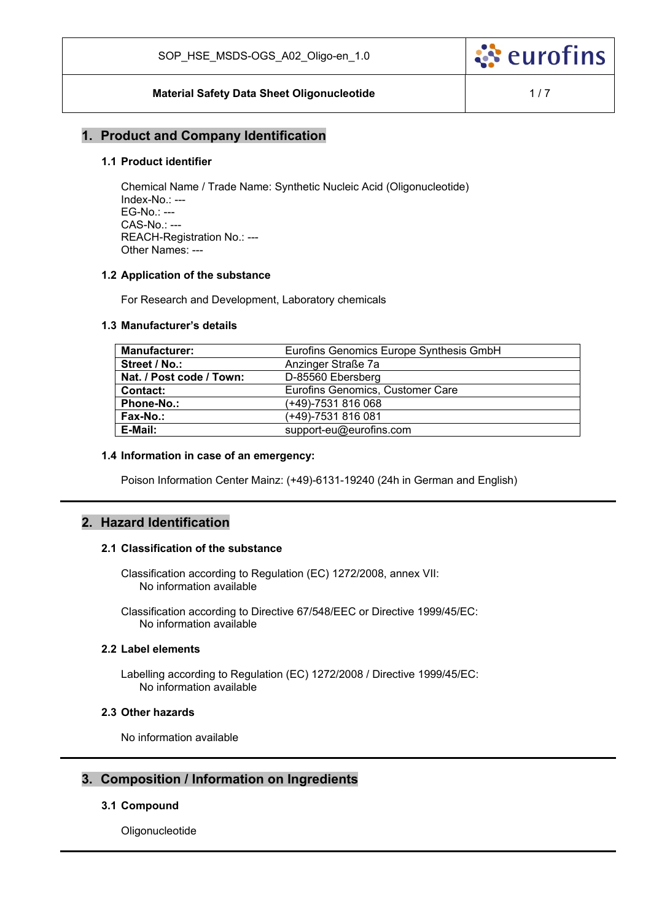

### **Material Safety Data Sheet Oligonucleotide**  1/7

### **1. Product and Company Identification**

### **1.1 Product identifier**

Chemical Name / Trade Name: Synthetic Nucleic Acid (Oligonucleotide) Index-No.: --- EG-No.: --- CAS-No.: --- REACH-Registration No.: --- Other Names: ---

#### **1.2 Application of the substance**

For Research and Development, Laboratory chemicals

#### **1.3 Manufacturer's details**

| <b>Manufacturer:</b>     | Eurofins Genomics Europe Synthesis GmbH |
|--------------------------|-----------------------------------------|
| Street / No.:            | Anzinger Straße 7a                      |
| Nat. / Post code / Town: | D-85560 Ebersberg                       |
| Contact:                 | Eurofins Genomics, Customer Care        |
| <b>Phone-No.:</b>        | (+49)-7531 816 068                      |
| Fax-No.:                 | (+49)-7531 816 081                      |
| E-Mail:                  | support-eu@eurofins.com                 |

#### **1.4 Information in case of an emergency:**

Poison Information Center Mainz: (+49)-6131-19240 (24h in German and English)

# **2. Hazard Identification**

#### **2.1 Classification of the substance**

Classification according to Regulation (EC) 1272/2008, annex VII: No information available

Classification according to Directive 67/548/EEC or Directive 1999/45/EC: No information available

### **2.2 Label elements**

Labelling according to Regulation (EC) 1272/2008 / Directive 1999/45/EC: No information available

### **2.3 Other hazards**

No information available

### **3. Composition / Information on Ingredients**

#### **3.1 Compound**

Oligonucleotide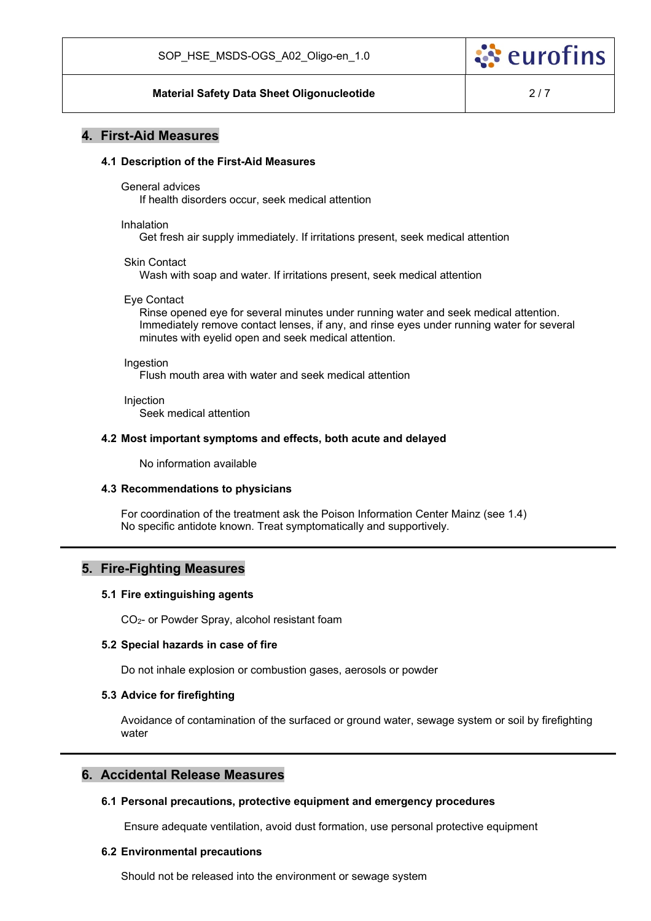

#### **Material Safety Data Sheet Oligonucleotide 1988** 2/7

### **4. First-Aid Measures**

#### **4.1 Description of the First-Aid Measures**

General advices

If health disorders occur, seek medical attention

Inhalation

Get fresh air supply immediately. If irritations present, seek medical attention

Skin Contact

Wash with soap and water. If irritations present, seek medical attention

Eye Contact

Rinse opened eye for several minutes under running water and seek medical attention. Immediately remove contact lenses, if any, and rinse eyes under running water for several minutes with eyelid open and seek medical attention.

**Ingestion** 

Flush mouth area with water and seek medical attention

**Injection** Seek medical attention

#### **4.2 Most important symptoms and effects, both acute and delayed**

No information available

#### **4.3 Recommendations to physicians**

For coordination of the treatment ask the Poison Information Center Mainz (see 1.4) No specific antidote known. Treat symptomatically and supportively.

### **5. Fire-Fighting Measures**

#### **5.1 Fire extinguishing agents**

CO2- or Powder Spray, alcohol resistant foam

#### **5.2 Special hazards in case of fire**

Do not inhale explosion or combustion gases, aerosols or powder

#### **5.3 Advice for firefighting**

Avoidance of contamination of the surfaced or ground water, sewage system or soil by firefighting water

### **6. Accidental Release Measures**

#### **6.1 Personal precautions, protective equipment and emergency procedures**

Ensure adequate ventilation, avoid dust formation, use personal protective equipment

#### **6.2 Environmental precautions**

Should not be released into the environment or sewage system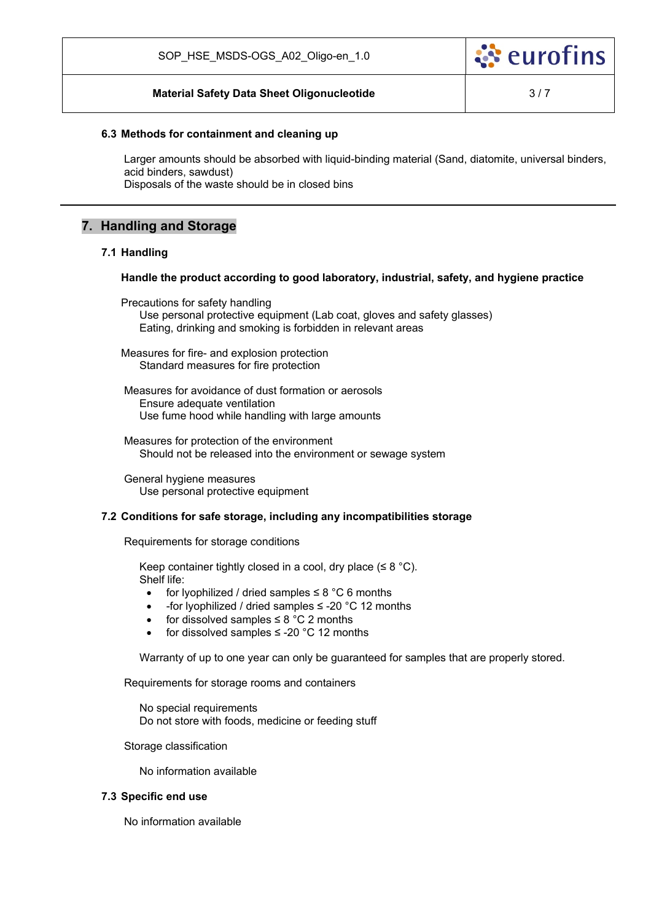

### **Material Safety Data Sheet Oligonucleotide 1996** 1997

#### **6.3 Methods for containment and cleaning up**

Larger amounts should be absorbed with liquid-binding material (Sand, diatomite, universal binders, acid binders, sawdust) Disposals of the waste should be in closed bins

# **7. Handling and Storage**

#### **7.1 Handling**

#### **Handle the product according to good laboratory, industrial, safety, and hygiene practice**

Precautions for safety handling Use personal protective equipment (Lab coat, gloves and safety glasses) Eating, drinking and smoking is forbidden in relevant areas

Measures for fire- and explosion protection Standard measures for fire protection

Measures for avoidance of dust formation or aerosols Ensure adequate ventilation Use fume hood while handling with large amounts

Measures for protection of the environment Should not be released into the environment or sewage system

General hygiene measures Use personal protective equipment

#### **7.2 Conditions for safe storage, including any incompatibilities storage**

Requirements for storage conditions

Keep container tightly closed in a cool, dry place ( $\leq 8$  °C). Shelf life:

- for lyophilized / dried samples  $\leq 8$  °C 6 months
- -for lyophilized / dried samples ≤ -20 °C 12 months
- for dissolved samples  $\leq 8$  °C 2 months
- for dissolved samples ≤ -20 °C 12 months

Warranty of up to one year can only be guaranteed for samples that are properly stored.

Requirements for storage rooms and containers

No special requirements Do not store with foods, medicine or feeding stuff

Storage classification

No information available

### **7.3 Specific end use**

No information available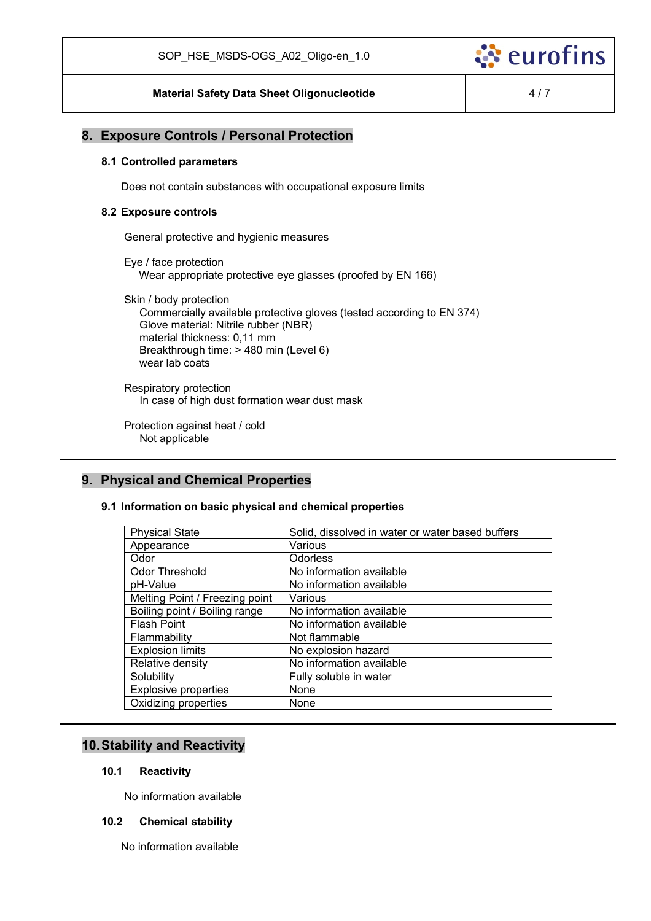

### **8. Exposure Controls / Personal Protection**

#### **8.1 Controlled parameters**

Does not contain substances with occupational exposure limits

#### **8.2 Exposure controls**

General protective and hygienic measures

Eye / face protection Wear appropriate protective eye glasses (proofed by EN 166)

Skin / body protection Commercially available protective gloves (tested according to EN 374) Glove material: Nitrile rubber (NBR) material thickness: 0,11 mm Breakthrough time: > 480 min (Level 6) wear lab coats

Respiratory protection In case of high dust formation wear dust mask

Protection against heat / cold Not applicable

# **9. Physical and Chemical Properties**

#### **9.1 Information on basic physical and chemical properties**

| <b>Physical State</b>          | Solid, dissolved in water or water based buffers |
|--------------------------------|--------------------------------------------------|
| Appearance                     | Various                                          |
| Odor                           | <b>Odorless</b>                                  |
| <b>Odor Threshold</b>          | No information available                         |
| pH-Value                       | No information available                         |
| Melting Point / Freezing point | Various                                          |
| Boiling point / Boiling range  | No information available                         |
| <b>Flash Point</b>             | No information available                         |
| Flammability                   | Not flammable                                    |
| <b>Explosion limits</b>        | No explosion hazard                              |
| Relative density               | No information available                         |
| Solubility                     | Fully soluble in water                           |
| <b>Explosive properties</b>    | None                                             |
| Oxidizing properties           | None                                             |
|                                |                                                  |

# **10. Stability and Reactivity**

### **10.1 Reactivity**

No information available

#### **10.2 Chemical stability**

No information available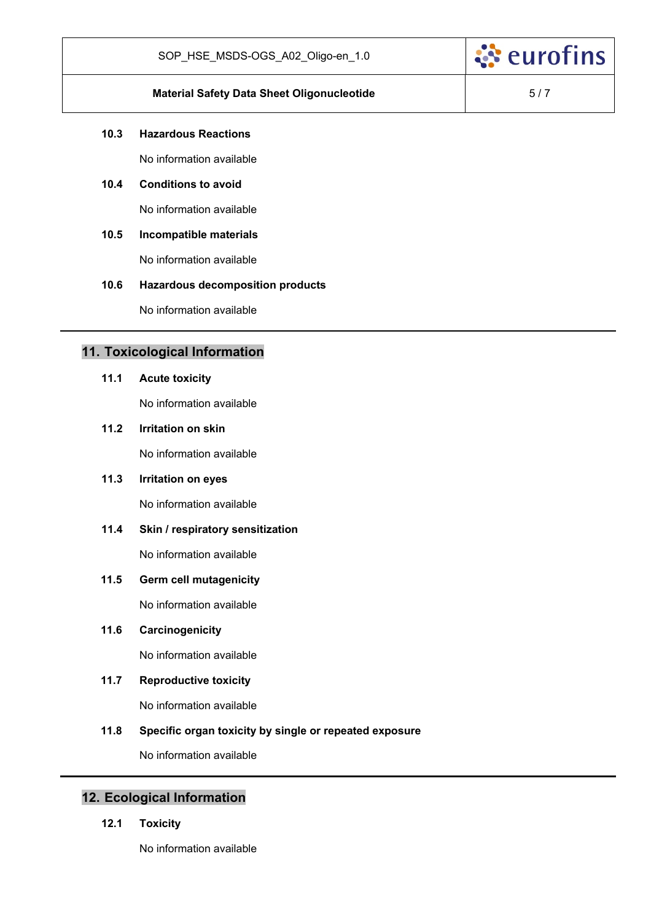

# **Material Safety Data Sheet Oligonucleotide 1988 1988 1988 1988 1988 1988 1988 1988 1988 1988 1988 1988 1988 1988 1988 1988 1988 1988 1988 1988 1988 1988 1988 1988 1988 1**

ं eurofins

### **10.3 Hazardous Reactions**

No information available

# **10.4 Conditions to avoid**

No information available

# **10.5 Incompatible materials**

No information available

### **10.6 Hazardous decomposition products**

No information available

# **11. Toxicological Information**

#### **11.1 Acute toxicity**

No information available

# **11.2 Irritation on skin**

No information available

### **11.3 Irritation on eyes**

No information available

# **11.4 Skin / respiratory sensitization**

No information available

### **11.5 Germ cell mutagenicity**

No information available

# **11.6 Carcinogenicity**

No information available

### **11.7 Reproductive toxicity**

No information available

## **11.8 Specific organ toxicity by single or repeated exposure**

No information available

# **12. Ecological Information**

**12.1 Toxicity** 

No information available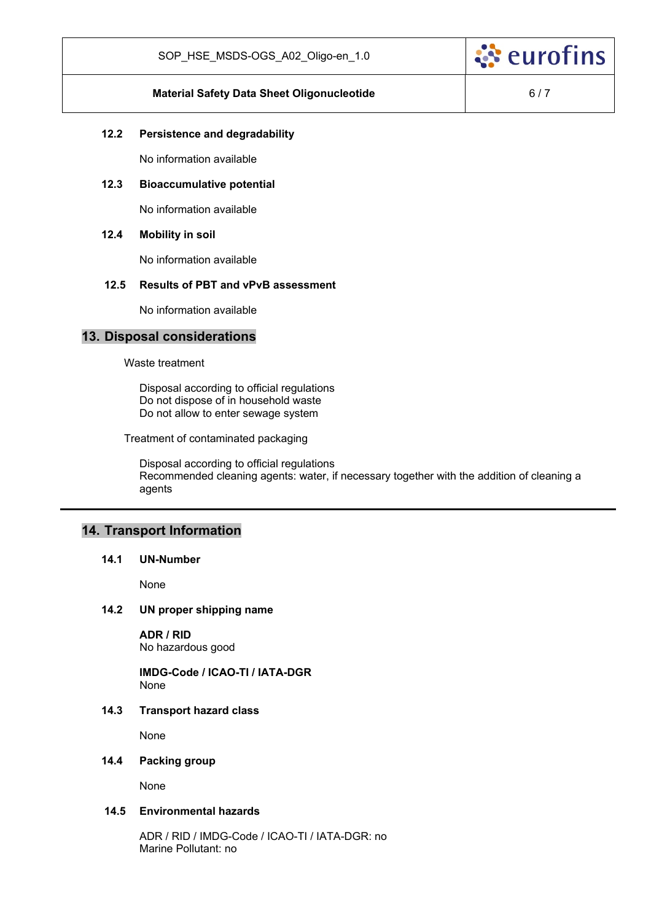

### **Material Safety Data Sheet Oligonucleotide 6/7**

### **12.2 Persistence and degradability**

No information available

### **12.3 Bioaccumulative potential**

No information available

### **12.4 Mobility in soil**

No information available

### **12.5 Results of PBT and vPvB assessment**

No information available

### **13. Disposal considerations**

Waste treatment

Disposal according to official regulations Do not dispose of in household waste Do not allow to enter sewage system

Treatment of contaminated packaging

Disposal according to official regulations Recommended cleaning agents: water, if necessary together with the addition of cleaning a agents

# **14. Transport Information**

#### **14.1 UN-Number**

None

#### **14.2 UN proper shipping name**

**ADR / RID**  No hazardous good

**IMDG-Code / ICAO-TI / IATA-DGR**  None

### **14.3 Transport hazard class**

None

### **14.4 Packing group**

None

### **14.5 Environmental hazards**

ADR / RID / IMDG-Code / ICAO-TI / IATA-DGR: no Marine Pollutant: no